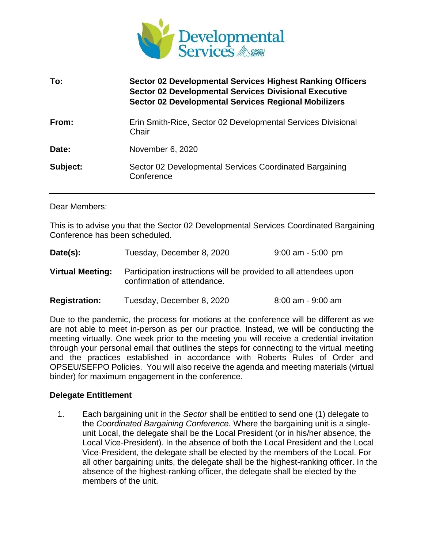

| To:      | Sector 02 Developmental Services Highest Ranking Officers<br><b>Sector 02 Developmental Services Divisional Executive</b><br><b>Sector 02 Developmental Services Regional Mobilizers</b> |
|----------|------------------------------------------------------------------------------------------------------------------------------------------------------------------------------------------|
| From:    | Erin Smith-Rice, Sector 02 Developmental Services Divisional<br>Chair                                                                                                                    |
| Date:    | November 6, 2020                                                                                                                                                                         |
| Subject: | Sector 02 Developmental Services Coordinated Bargaining<br>Conference                                                                                                                    |

#### Dear Members:

This is to advise you that the Sector 02 Developmental Services Coordinated Bargaining Conference has been scheduled.

| Date(s):                | Tuesday, December 8, 2020                                                                        | $9:00$ am - 5:00 pm |
|-------------------------|--------------------------------------------------------------------------------------------------|---------------------|
| <b>Virtual Meeting:</b> | Participation instructions will be provided to all attendees upon<br>confirmation of attendance. |                     |

**Registration:** Tuesday, December 8, 2020 8:00 am - 9:00 am

Due to the pandemic, the process for motions at the conference will be different as we are not able to meet in-person as per our practice. Instead, we will be conducting the meeting virtually. One week prior to the meeting you will receive a credential invitation through your personal email that outlines the steps for connecting to the virtual meeting and the practices established in accordance with Roberts Rules of Order and OPSEU/SEFPO Policies. You will also receive the agenda and meeting materials (virtual binder) for maximum engagement in the conference.

#### **Delegate Entitlement**

1. Each bargaining unit in the *Sector* shall be entitled to send one (1) delegate to the *Coordinated Bargaining Conference.* Where the bargaining unit is a singleunit Local, the delegate shall be the Local President (or in his/her absence, the Local Vice-President). In the absence of both the Local President and the Local Vice-President, the delegate shall be elected by the members of the Local. For all other bargaining units, the delegate shall be the highest-ranking officer. In the absence of the highest-ranking officer, the delegate shall be elected by the members of the unit.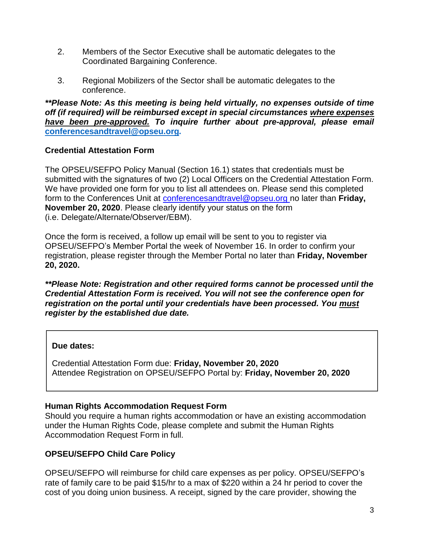- 2. Members of the Sector Executive shall be automatic delegates to the Coordinated Bargaining Conference.
- 3. Regional Mobilizers of the Sector shall be automatic delegates to the conference.

*\*\*Please Note: As this meeting is being held virtually, no expenses outside of time off (if required) will be reimbursed except in special circumstances where expenses have been pre-approved. To inquire further about pre-approval, please email*  **[conferencesandtravel@opseu.org](mailto:conferencesandtravel@opseu.org)***.* 

# **Credential Attestation Form**

The OPSEU/SEFPO Policy Manual (Section 16.1) states that credentials must be submitted with the signatures of two (2) Local Officers on the Credential Attestation Form. We have provided one form for you to list all attendees on. Please send this completed form to the Conferences Unit at [conferencesandtravel@opseu.org n](mailto:conferencesandtravel@opseu.org)o later than **Friday, November 20, 2020**. Please clearly identify your status on the form (i.e. Delegate/Alternate/Observer/EBM).

Once the form is received, a follow up email will be sent to you to register via OPSEU/SEFPO's Member Portal the week of November 16. In order to confirm your registration, please register through the Member Portal no later than **Friday, November 20, 2020.**

*\*\*Please Note: Registration and other required forms cannot be processed until the Credential Attestation Form is received. You will not see the conference open for registration on the portal until your credentials have been processed. You must register by the established due date.* 

# **Due dates:**

Credential Attestation Form due: **Friday, November 20, 2020** Attendee Registration on OPSEU/SEFPO Portal by: **Friday, November 20, 2020**

# **Human Rights Accommodation Request Form**

Should you require a human rights accommodation or have an existing accommodation under the Human Rights Code, please complete and submit the Human Rights Accommodation Request Form in full.

# **OPSEU/SEFPO Child Care Policy**

OPSEU/SEFPO will reimburse for child care expenses as per policy. OPSEU/SEFPO's rate of family care to be paid \$15/hr to a max of \$220 within a 24 hr period to cover the cost of you doing union business. A receipt, signed by the care provider, showing the